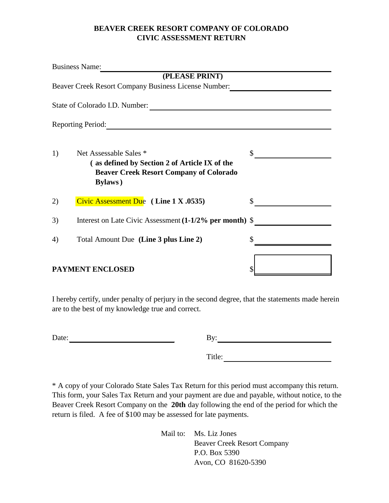## **BEAVER CREEK RESORT COMPANY OF COLORADO CIVIC ASSESSMENT RETURN**

| <b>Business Name:</b>                                                                                                                              |    |
|----------------------------------------------------------------------------------------------------------------------------------------------------|----|
| (PLEASE PRINT)<br>Beaver Creek Resort Company Business License Number:                                                                             |    |
| State of Colorado I.D. Number:                                                                                                                     |    |
| <b>Reporting Period:</b>                                                                                                                           |    |
| Net Assessable Sales *<br>1)<br>(as defined by Section 2 of Article IX of the<br><b>Beaver Creek Resort Company of Colorado</b><br><b>Bylaws</b> ) | \$ |
| Civic Assessment Due $(Line 1 X.0535)$<br>2)                                                                                                       |    |
| Interest on Late Civic Assessment (1-1/2% per month) \$<br>3)                                                                                      |    |
| Total Amount Due (Line 3 plus Line 2)<br>4)                                                                                                        |    |
| <b>PAYMENT ENCLOSED</b>                                                                                                                            |    |

I hereby certify, under penalty of perjury in the second degree, that the statements made herein are to the best of my knowledge true and correct.

| Date: | By: |
|-------|-----|
|-------|-----|

Title:

\* A copy of your Colorado State Sales Tax Return for this period must accompany this return. This form, your Sales Tax Return and your payment are due and payable, without notice, to the Beaver Creek Resort Company on the **20th** day following the end of the period for which the return is filed. A fee of \$100 may be assessed for late payments.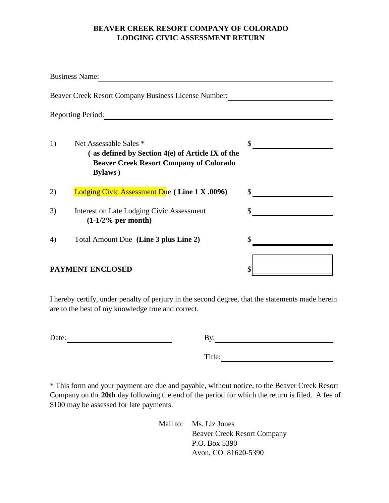## **BEAVER CREEK RESORT COMPANY OF COLORADO LODGING CIVIC ASSESSMENT RETURN**

|    | <b>Business Name:</b>                                                                                                                                             |    |
|----|-------------------------------------------------------------------------------------------------------------------------------------------------------------------|----|
|    | Beaver Creek Resort Company Business License Number:                                                                                                              |    |
|    | <b>Reporting Period:</b>                                                                                                                                          |    |
| 1) | Net Assessable Sales *<br>$\alpha$ as defined by Section 4 $\epsilon$ ) of Article IX of the<br><b>Beaver Creek Resort Company of Colorado</b><br><b>Bylaws</b> ) | \$ |
| 2) | <b>Lodging Civic Assessment Due (Line 1 X .0096)</b>                                                                                                              | S  |
| 3) | Interest on Late Lodging Civic Assessment<br>$(1-1/2)$ per month)                                                                                                 |    |
| 4) | Total Amount Due (Line 3 plus Line 2)                                                                                                                             |    |
|    | <b>PAYMENT ENCLOSED</b>                                                                                                                                           |    |

I hereby certify, under penalty of perjury in the second degree, that the statements made herein are to the best of my knowledge true and correct.

| Date: | By: |
|-------|-----|
|-------|-----|

Title:

\* This form and your payment are due and payable, without notice, to the Beaver Creek Resort Company on the **20th** day following the end of the period for which the return is filed. A fee of \$100 may be assessed for late payments.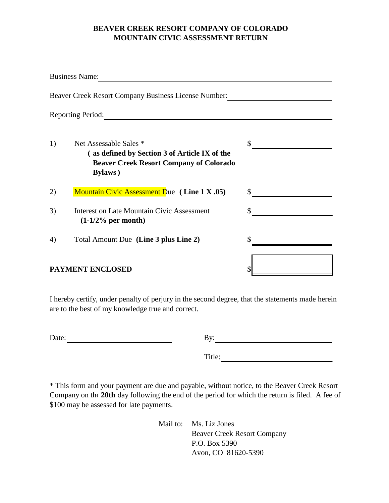## **BEAVER CREEK RESORT COMPANY OF COLORADO MOUNTAIN CIVIC ASSESSMENT RETURN**

|    | <b>Business Name:</b>                                                                                                                        |    |
|----|----------------------------------------------------------------------------------------------------------------------------------------------|----|
|    | Beaver Creek Resort Company Business License Number:                                                                                         |    |
|    | <b>Reporting Period:</b>                                                                                                                     |    |
| 1) | Net Assessable Sales *<br>(as defined by Section 3 of Article IX of the<br><b>Beaver Creek Resort Company of Colorado</b><br><b>Bylaws</b> ) | \$ |
| 2) | <b>Mountain Civic Assessment Due</b> (Line 1 X .05)                                                                                          | S  |
| 3) | <b>Interest on Late Mountain Civic Assessment</b><br>$(1-1/2)$ per month)                                                                    |    |
| 4) | Total Amount Due (Line 3 plus Line 2)                                                                                                        |    |
|    | <b>PAYMENT ENCLOSED</b>                                                                                                                      |    |

I hereby certify, under penalty of perjury in the second degree, that the statements made herein are to the best of my knowledge true and correct.

| Date: | By: |
|-------|-----|
|-------|-----|

Title:

\* This form and your payment are due and payable, without notice, to the Beaver Creek Resort Company on the **20th** day following the end of the period for which the return is filed. A fee of \$100 may be assessed for late payments.